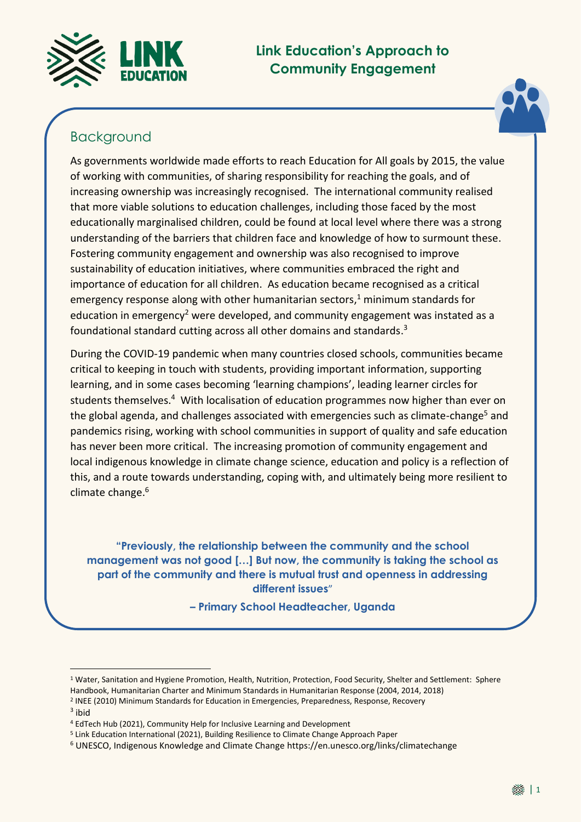

# **Link Education's Approach to Community Engagement**



## Background

As governments worldwide made efforts to reach Education for All goals by 2015, the value of working with communities, of sharing responsibility for reaching the goals, and of increasing ownership was increasingly recognised. The international community realised that more viable solutions to education challenges, including those faced by the most educationally marginalised children, could be found at local level where there was a strong understanding of the barriers that children face and knowledge of how to surmount these. Fostering community engagement and ownership was also recognised to improve sustainability of education initiatives, where communities embraced the right and importance of education for all children. As education became recognised as a critical emergency response along with other humanitarian sectors, <sup>1</sup> minimum standards for education in emergency<sup>2</sup> were developed, and community engagement was instated as a foundational standard cutting across all other domains and standards. 3

During the COVID-19 pandemic when many countries closed schools, communities became critical to keeping in touch with students, providing important information, supporting learning, and in some cases becoming 'learning champions', leading learner circles for students themselves.<sup>4</sup> With localisation of education programmes now higher than ever on the global agenda, and challenges associated with emergencies such as climate-change<sup>5</sup> and pandemics rising, working with school communities in support of quality and safe education has never been more critical. The increasing promotion of community engagement and local indigenous knowledge in climate change science, education and policy is a reflection of this, and a route towards understanding, coping with, and ultimately being more resilient to climate change. 6

**"Previously, the relationship between the community and the school management was not good […] But now, the community is taking the school as part of the community and there is mutual trust and openness in addressing different issues**"

**– Primary School Headteacher, Uganda**

<u>.</u>

<sup>1</sup> Water, Sanitation and Hygiene Promotion, Health, Nutrition, Protection, Food Security, Shelter and Settlement: Sphere Handbook, Humanitarian Charter and Minimum Standards in Humanitarian Response (2004, 2014, 2018) 2 INEE (2010) Minimum Standards for Education in Emergencies, Preparedness, Response, Recovery

<sup>&</sup>lt;sup>3</sup> ibid

<sup>4</sup> EdTech Hub (2021), Community Help for Inclusive Learning and Development

<sup>5</sup> Link Education International (2021), Building Resilience to Climate Change Approach Paper

<sup>6</sup> UNESCO, Indigenous Knowledge and Climate Change https://en.unesco.org/links/climatechange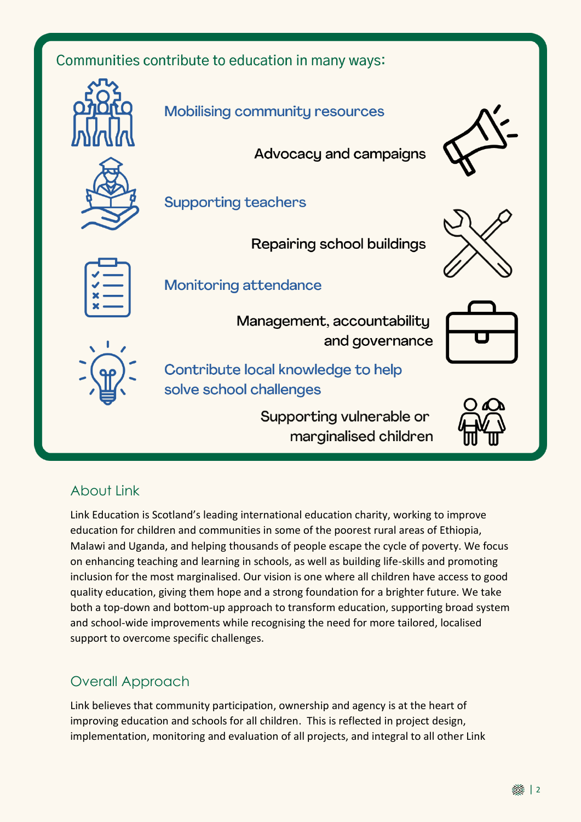Communities contribute to education in many ways:



# About Link

Link Education is Scotland's leading international education charity, working to improve education for children and communities in some of the poorest rural areas of Ethiopia, Malawi and Uganda, and helping thousands of people escape the cycle of poverty. We focus on enhancing teaching and learning in schools, as well as building life-skills and promoting inclusion for the most marginalised. Our vision is one where all children have access to good quality education, giving them hope and a strong foundation for a brighter future. We take both a top-down and bottom-up approach to transform education, supporting broad system and school-wide improvements while recognising the need for more tailored, localised support to overcome specific challenges.

## Overall Approach

Link believes that community participation, ownership and agency is at the heart of improving education and schools for all children. This is reflected in project design, implementation, monitoring and evaluation of all projects, and integral to all other Link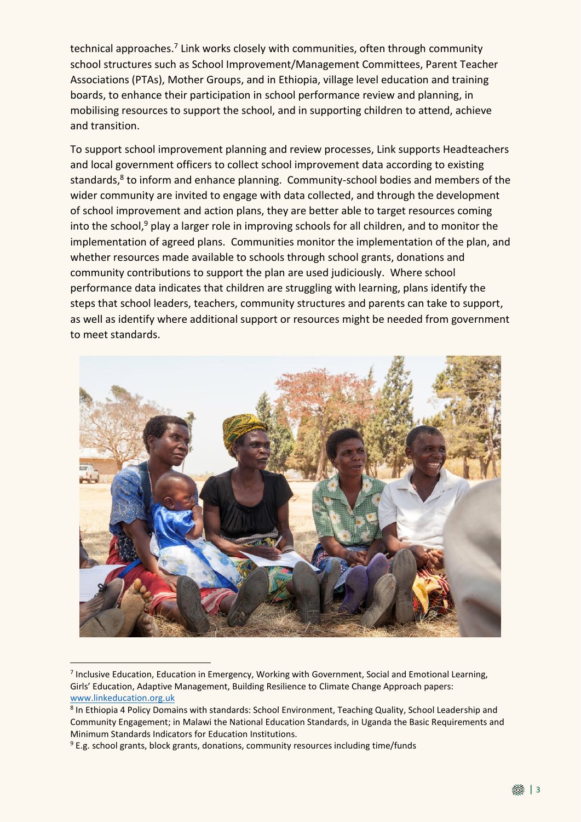technical approaches.<sup>7</sup> Link works closely with communities, often through community school structures such as School Improvement/Management Committees, Parent Teacher Associations (PTAs), Mother Groups, and in Ethiopia, village level education and training boards, to enhance their participation in school performance review and planning, in mobilising resources to support the school, and in supporting children to attend, achieve and transition.

To support school improvement planning and review processes, Link supports Headteachers and local government officers to collect school improvement data according to existing standards,<sup>8</sup> to inform and enhance planning. Community-school bodies and members of the wider community are invited to engage with data collected, and through the development of school improvement and action plans, they are better able to target resources coming into the school,<sup>9</sup> play a larger role in improving schools for all children, and to monitor the implementation of agreed plans. Communities monitor the implementation of the plan, and whether resources made available to schools through school grants, donations and community contributions to support the plan are used judiciously. Where school performance data indicates that children are struggling with learning, plans identify the steps that school leaders, teachers, community structures and parents can take to support, as well as identify where additional support or resources might be needed from government to meet standards.



<sup>&</sup>lt;sup>7</sup> Inclusive Education, Education in Emergency, Working with Government, Social and Emotional Learning, Girls' Education, Adaptive Management, Building Resilience to Climate Change Approach papers: [www.linkeducation.org.uk](http://www.linkeducation.org.uk/)

 $\overline{\phantom{a}}$ 

<sup>&</sup>lt;sup>8</sup> In Ethiopia 4 Policy Domains with standards: School Environment, Teaching Quality, School Leadership and Community Engagement; in Malawi the National Education Standards, in Uganda the Basic Requirements and Minimum Standards Indicators for Education Institutions.

<sup>&</sup>lt;sup>9</sup> E.g. school grants, block grants, donations, community resources including time/funds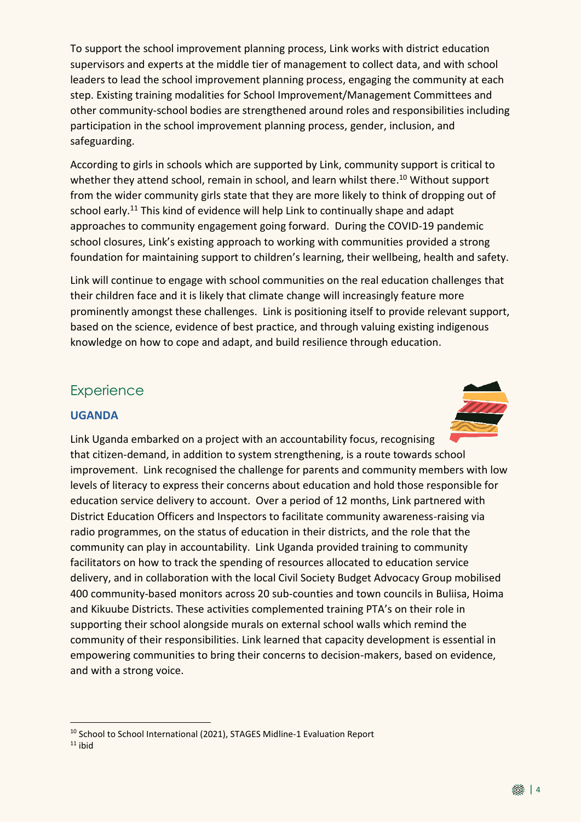To support the school improvement planning process, Link works with district education supervisors and experts at the middle tier of management to collect data, and with school leaders to lead the school improvement planning process, engaging the community at each step. Existing training modalities for School Improvement/Management Committees and other community-school bodies are strengthened around roles and responsibilities including participation in the school improvement planning process, gender, inclusion, and safeguarding.

According to girls in schools which are supported by Link, community support is critical to whether they attend school, remain in school, and learn whilst there.<sup>10</sup> Without support from the wider community girls state that they are more likely to think of dropping out of school early.<sup>11</sup> This kind of evidence will help Link to continually shape and adapt approaches to community engagement going forward. During the COVID-19 pandemic school closures, Link's existing approach to working with communities provided a strong foundation for maintaining support to children's learning, their wellbeing, health and safety.

Link will continue to engage with school communities on the real education challenges that their children face and it is likely that climate change will increasingly feature more prominently amongst these challenges. Link is positioning itself to provide relevant support, based on the science, evidence of best practice, and through valuing existing indigenous knowledge on how to cope and adapt, and build resilience through education.

### **Experience**

#### **UGANDA**



Link Uganda embarked on a project with an accountability focus, recognising that citizen-demand, in addition to system strengthening, is a route towards school improvement. Link recognised the challenge for parents and community members with low levels of literacy to express their concerns about education and hold those responsible for education service delivery to account. Over a period of 12 months, Link partnered with District Education Officers and Inspectors to facilitate community awareness-raising via radio programmes, on the status of education in their districts, and the role that the community can play in accountability. Link Uganda provided training to community facilitators on how to track the spending of resources allocated to education service delivery, and in collaboration with the local Civil Society Budget Advocacy Group mobilised 400 community-based monitors across 20 sub-counties and town councils in Buliisa, Hoima and Kikuube Districts. These activities complemented training PTA's on their role in supporting their school alongside murals on external school walls which remind the community of their responsibilities. Link learned that capacity development is essential in empowering communities to bring their concerns to decision-makers, based on evidence, and with a strong voice.

<sup>&</sup>lt;u>.</u> <sup>10</sup> School to School International (2021), STAGES Midline-1 Evaluation Report

 $11$  ibid